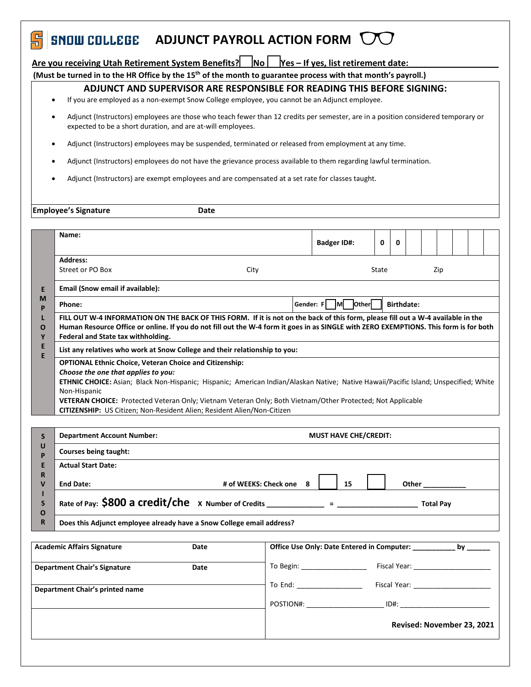### 周 **ADJUNCT PAYROLL ACTION FORM DOGILIZED**

# Are you receiving Utah Retirement System Benefits? **◯No ◯Yes – If yes, list retirement date:**

**(Must be turned in to the HR Office by the 15th of the month to guarantee process with that month's payroll.)**

## **ADJUNCT AND SUPERVISOR ARE RESPONSIBLE FOR READING THIS BEFORE SIGNING:**

- If you are employed as a non-exempt Snow College employee, you cannot be an Adjunct employee.
- Adjunct (Instructors) employees are those who teach fewer than 12 credits per semester, are in a position considered temporary or expected to be a short duration, and are at-will employees.
- Adjunct (Instructors) employees may be suspended, terminated or released from employment at any time.
- Adjunct (Instructors) employees do not have the grievance process available to them regarding lawful termination.
- Adjunct (Instructors) are exempt employees and are compensated at a set rate for classes taught.

|                                                | <b>Employee's Signature</b>                                                                                                                                                                                                                                                                                                                                                                                                                                                                                                                                                                                                                                                                                                                                                                                                                                                                                                                                                                                           | Date                    |                    |   |              |  |  |  |  |  |  |
|------------------------------------------------|-----------------------------------------------------------------------------------------------------------------------------------------------------------------------------------------------------------------------------------------------------------------------------------------------------------------------------------------------------------------------------------------------------------------------------------------------------------------------------------------------------------------------------------------------------------------------------------------------------------------------------------------------------------------------------------------------------------------------------------------------------------------------------------------------------------------------------------------------------------------------------------------------------------------------------------------------------------------------------------------------------------------------|-------------------------|--------------------|---|--------------|--|--|--|--|--|--|
|                                                | Name:                                                                                                                                                                                                                                                                                                                                                                                                                                                                                                                                                                                                                                                                                                                                                                                                                                                                                                                                                                                                                 |                         | <b>Badger ID#:</b> | 0 | $\mathbf{0}$ |  |  |  |  |  |  |
| E<br>M<br>P<br>ш<br>O<br>Y<br>E<br>E.          | <b>Address:</b><br>Street or PO Box<br>City<br>State<br>Zip<br>Email (Snow email if available):<br>Gender: $F \cap M$ Other<br><b>Birthdate:</b><br>Phone:<br>FILL OUT W-4 INFORMATION ON THE BACK OF THIS FORM. If it is not on the back of this form, please fill out a W-4 available in the<br>Human Resource Office or online. If you do not fill out the W-4 form it goes in as SINGLE with ZERO EXEMPTIONS. This form is for both<br>Federal and State tax withholding.<br>List any relatives who work at Snow College and their relationship to you:<br><b>OPTIONAL Ethnic Choice, Veteran Choice and Citizenship:</b><br>Choose the one that applies to you:<br>ETHNIC CHOICE: Asian; Black Non-Hispanic; Hispanic; American Indian/Alaskan Native; Native Hawaii/Pacific Island; Unspecified; White<br>Non-Hispanic<br>VETERAN CHOICE: Protected Veteran Only; Vietnam Veteran Only; Both Vietnam/Other Protected; Not Applicable<br>CITIZENSHIP: US Citizen; Non-Resident Alien; Resident Alien/Non-Citizen |                         |                    |   |              |  |  |  |  |  |  |
|                                                |                                                                                                                                                                                                                                                                                                                                                                                                                                                                                                                                                                                                                                                                                                                                                                                                                                                                                                                                                                                                                       |                         |                    |   |              |  |  |  |  |  |  |
| S<br>U<br>P<br>E<br>R<br>$\mathbf v$<br>S<br>O | <b>Department Account Number:</b><br><b>MUST HAVE CHE/CREDIT:</b>                                                                                                                                                                                                                                                                                                                                                                                                                                                                                                                                                                                                                                                                                                                                                                                                                                                                                                                                                     |                         |                    |   |              |  |  |  |  |  |  |
|                                                | Courses being taught:                                                                                                                                                                                                                                                                                                                                                                                                                                                                                                                                                                                                                                                                                                                                                                                                                                                                                                                                                                                                 |                         |                    |   |              |  |  |  |  |  |  |
|                                                | <b>Actual Start Date:</b><br><b>End Date:</b>                                                                                                                                                                                                                                                                                                                                                                                                                                                                                                                                                                                                                                                                                                                                                                                                                                                                                                                                                                         | # of WEEKS: Check one 8 | 15                 |   |              |  |  |  |  |  |  |
|                                                | Rate of Pay: $$800$ a Credit/che x Number of Credits ____________ = _____________<br><b>Total Pav</b>                                                                                                                                                                                                                                                                                                                                                                                                                                                                                                                                                                                                                                                                                                                                                                                                                                                                                                                 |                         |                    |   |              |  |  |  |  |  |  |
| R                                              | Does this Adjunct employee already have a Snow College email address?                                                                                                                                                                                                                                                                                                                                                                                                                                                                                                                                                                                                                                                                                                                                                                                                                                                                                                                                                 |                         |                    |   |              |  |  |  |  |  |  |
|                                                |                                                                                                                                                                                                                                                                                                                                                                                                                                                                                                                                                                                                                                                                                                                                                                                                                                                                                                                                                                                                                       |                         |                    |   |              |  |  |  |  |  |  |

|                                     |      | Revised: November 23, 2021                                                                                                                                                                                                    |                                                                                                                                                                                                                                |  |  |  |
|-------------------------------------|------|-------------------------------------------------------------------------------------------------------------------------------------------------------------------------------------------------------------------------------|--------------------------------------------------------------------------------------------------------------------------------------------------------------------------------------------------------------------------------|--|--|--|
|                                     |      | POSTION#:                                                                                                                                                                                                                     | $ID#$ :                                                                                                                                                                                                                        |  |  |  |
| Department Chair's printed name     |      | To End: The Second Second Second Second Second Second Second Second Second Second Second Second Second Second Second Second Second Second Second Second Second Second Second Second Second Second Second Second Second Second | Fiscal Year: The Control of the Control of the Control of the Control of the Control of the Control of the Control of the Control of the Control of the Control of the Control of the Control of the Control of the Control of |  |  |  |
| <b>Department Chair's Signature</b> | Date | To Begin: ______________                                                                                                                                                                                                      | Fiscal Year:                                                                                                                                                                                                                   |  |  |  |
| <b>Academic Affairs Signature</b>   | Date | Office Use Only: Date Entered in Computer:                                                                                                                                                                                    | by                                                                                                                                                                                                                             |  |  |  |